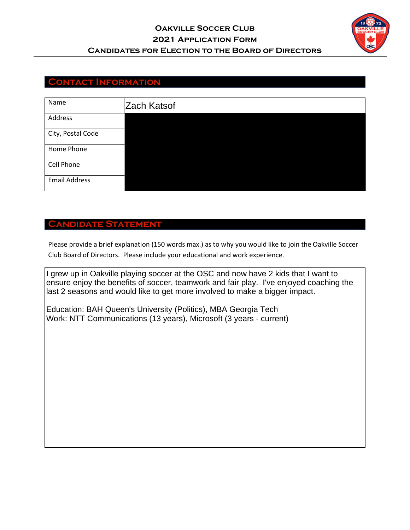

## **Contact Information**

| Name                 | Zach Katsof |
|----------------------|-------------|
| Address              |             |
| City, Postal Code    |             |
| Home Phone           |             |
| Cell Phone           |             |
| <b>Email Address</b> |             |

### **Candidate Statement**

Please provide a brief explanation (150 words max.) as to why you would like to join the Oakville Soccer Club Board of Directors. Please include your educational and work experience.

I grew up in Oakville playing soccer at the OSC and now have 2 kids that I want to ensure enjoy the benefits of soccer, teamwork and fair play. I've enjoyed coaching the last 2 seasons and would like to get more involved to make a bigger impact.

Education: BAH Queen's University (Politics), MBA Georgia Tech Work: NTT Communications (13 years), Microsoft (3 years - current)